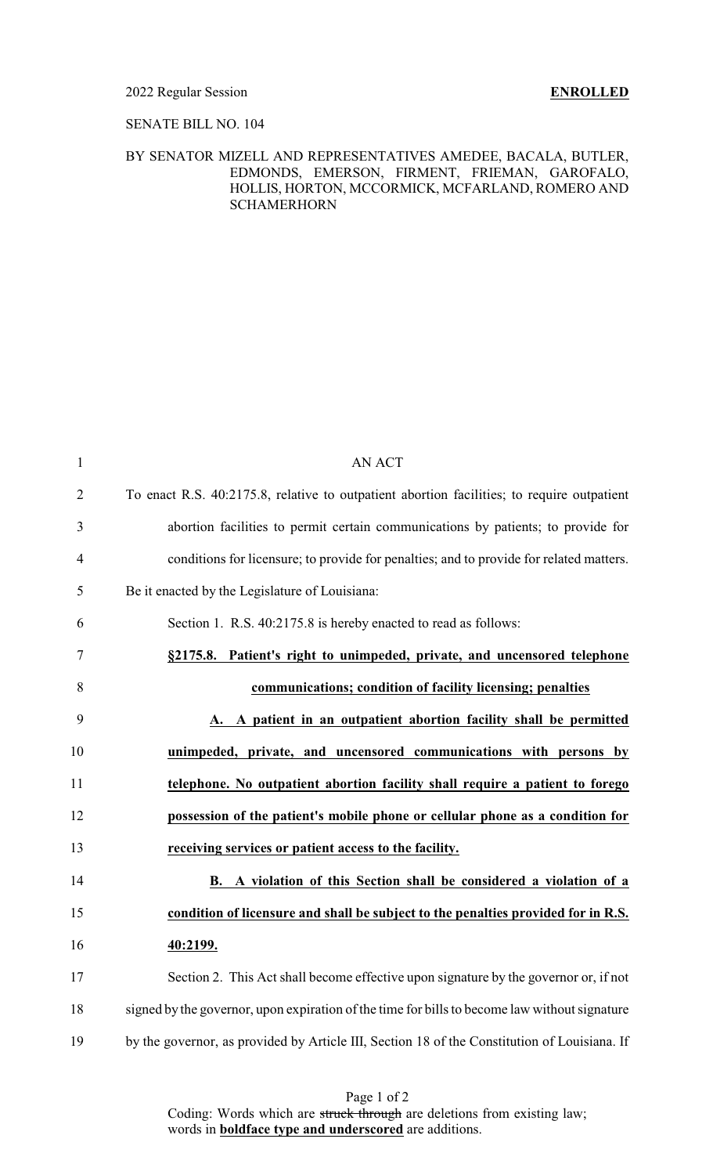### 2022 Regular Session **ENROLLED**

## SENATE BILL NO. 104

## BY SENATOR MIZELL AND REPRESENTATIVES AMEDEE, BACALA, BUTLER, EDMONDS, EMERSON, FIRMENT, FRIEMAN, GAROFALO, HOLLIS, HORTON, MCCORMICK, MCFARLAND, ROMERO AND SCHAMERHORN

| $\mathbf{1}$   | <b>AN ACT</b>                                                                                 |
|----------------|-----------------------------------------------------------------------------------------------|
| $\overline{2}$ | To enact R.S. 40:2175.8, relative to outpatient abortion facilities; to require outpatient    |
| 3              | abortion facilities to permit certain communications by patients; to provide for              |
| 4              | conditions for licensure; to provide for penalties; and to provide for related matters.       |
| 5              | Be it enacted by the Legislature of Louisiana:                                                |
| 6              | Section 1. R.S. 40:2175.8 is hereby enacted to read as follows:                               |
| 7              | §2175.8. Patient's right to unimpeded, private, and uncensored telephone                      |
| 8              | communications; condition of facility licensing; penalties                                    |
| 9              | A. A patient in an outpatient abortion facility shall be permitted                            |
| 10             | unimpeded, private, and uncensored communications with persons by                             |
| 11             | telephone. No outpatient abortion facility shall require a patient to forego                  |
| 12             | possession of the patient's mobile phone or cellular phone as a condition for                 |
| 13             | receiving services or patient access to the facility.                                         |
| 14             | B. A violation of this Section shall be considered a violation of a                           |
| 15             | condition of licensure and shall be subject to the penalties provided for in R.S.             |
| 16             | 40:2199.                                                                                      |
| 17             | Section 2. This Act shall become effective upon signature by the governor or, if not          |
| 18             | signed by the governor, upon expiration of the time for bills to become law without signature |
| 19             | by the governor, as provided by Article III, Section 18 of the Constitution of Louisiana. If  |
|                |                                                                                               |

Page 1 of 2 Coding: Words which are struck through are deletions from existing law; words in **boldface type and underscored** are additions.